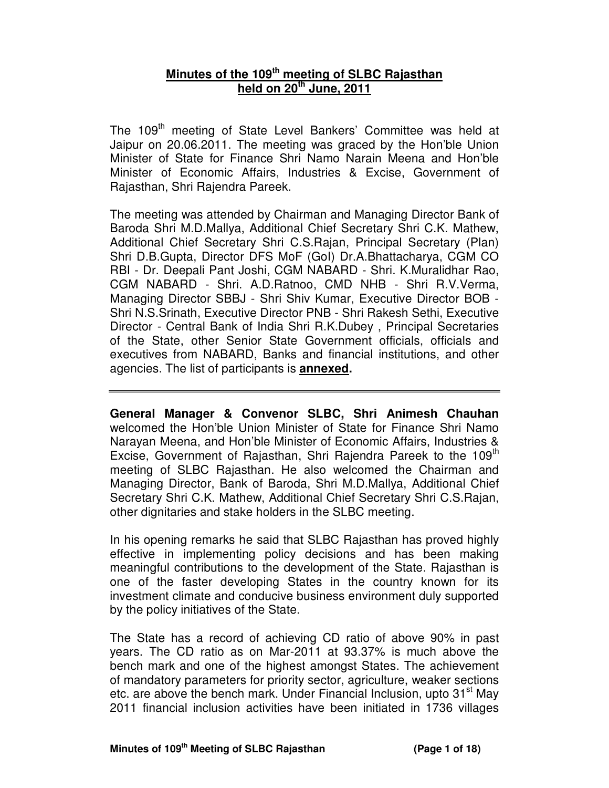# **Minutes of the 109th meeting of SLBC Rajasthan held on 20th June, 2011**

The 109<sup>th</sup> meeting of State Level Bankers' Committee was held at Jaipur on 20.06.2011. The meeting was graced by the Hon'ble Union Minister of State for Finance Shri Namo Narain Meena and Hon'ble Minister of Economic Affairs, Industries & Excise, Government of Rajasthan, Shri Rajendra Pareek.

The meeting was attended by Chairman and Managing Director Bank of Baroda Shri M.D.Mallya, Additional Chief Secretary Shri C.K. Mathew, Additional Chief Secretary Shri C.S.Rajan, Principal Secretary (Plan) Shri D.B.Gupta, Director DFS MoF (GoI) Dr.A.Bhattacharya, CGM CO RBI - Dr. Deepali Pant Joshi, CGM NABARD - Shri. K.Muralidhar Rao, CGM NABARD - Shri. A.D.Ratnoo, CMD NHB - Shri R.V.Verma, Managing Director SBBJ - Shri Shiv Kumar, Executive Director BOB - Shri N.S.Srinath, Executive Director PNB - Shri Rakesh Sethi, Executive Director - Central Bank of India Shri R.K.Dubey , Principal Secretaries of the State, other Senior State Government officials, officials and executives from NABARD, Banks and financial institutions, and other agencies. The list of participants is **annexed.** 

**General Manager & Convenor SLBC, Shri Animesh Chauhan**  welcomed the Hon'ble Union Minister of State for Finance Shri Namo Narayan Meena, and Hon'ble Minister of Economic Affairs, Industries & Excise, Government of Rajasthan, Shri Rajendra Pareek to the 109<sup>th</sup> meeting of SLBC Rajasthan. He also welcomed the Chairman and Managing Director, Bank of Baroda, Shri M.D.Mallya, Additional Chief Secretary Shri C.K. Mathew, Additional Chief Secretary Shri C.S.Rajan, other dignitaries and stake holders in the SLBC meeting.

In his opening remarks he said that SLBC Rajasthan has proved highly effective in implementing policy decisions and has been making meaningful contributions to the development of the State. Rajasthan is one of the faster developing States in the country known for its investment climate and conducive business environment duly supported by the policy initiatives of the State.

The State has a record of achieving CD ratio of above 90% in past years. The CD ratio as on Mar-2011 at 93.37% is much above the bench mark and one of the highest amongst States. The achievement of mandatory parameters for priority sector, agriculture, weaker sections etc. are above the bench mark. Under Financial Inclusion, upto 31<sup>st</sup> May 2011 financial inclusion activities have been initiated in 1736 villages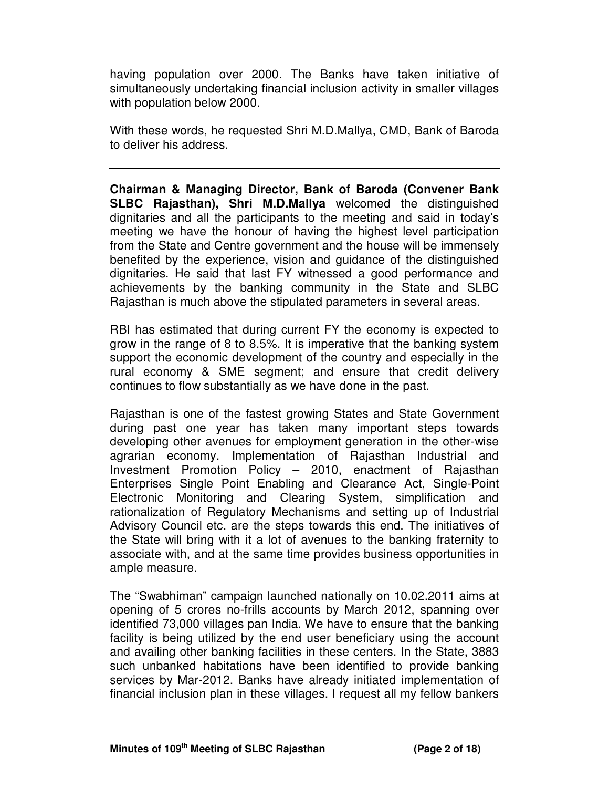having population over 2000. The Banks have taken initiative of simultaneously undertaking financial inclusion activity in smaller villages with population below 2000.

With these words, he requested Shri M.D.Mallya, CMD, Bank of Baroda to deliver his address.

**Chairman & Managing Director, Bank of Baroda (Convener Bank SLBC Rajasthan), Shri M.D.Mallya** welcomed the distinguished dignitaries and all the participants to the meeting and said in today's meeting we have the honour of having the highest level participation from the State and Centre government and the house will be immensely benefited by the experience, vision and guidance of the distinguished dignitaries. He said that last FY witnessed a good performance and achievements by the banking community in the State and SLBC Rajasthan is much above the stipulated parameters in several areas.

RBI has estimated that during current FY the economy is expected to grow in the range of 8 to 8.5%. It is imperative that the banking system support the economic development of the country and especially in the rural economy & SME segment; and ensure that credit delivery continues to flow substantially as we have done in the past.

Rajasthan is one of the fastest growing States and State Government during past one year has taken many important steps towards developing other avenues for employment generation in the other-wise agrarian economy. Implementation of Rajasthan Industrial and Investment Promotion Policy – 2010, enactment of Rajasthan Enterprises Single Point Enabling and Clearance Act, Single-Point Electronic Monitoring and Clearing System, simplification and rationalization of Regulatory Mechanisms and setting up of Industrial Advisory Council etc. are the steps towards this end. The initiatives of the State will bring with it a lot of avenues to the banking fraternity to associate with, and at the same time provides business opportunities in ample measure.

The "Swabhiman" campaign launched nationally on 10.02.2011 aims at opening of 5 crores no-frills accounts by March 2012, spanning over identified 73,000 villages pan India. We have to ensure that the banking facility is being utilized by the end user beneficiary using the account and availing other banking facilities in these centers. In the State, 3883 such unbanked habitations have been identified to provide banking services by Mar-2012. Banks have already initiated implementation of financial inclusion plan in these villages. I request all my fellow bankers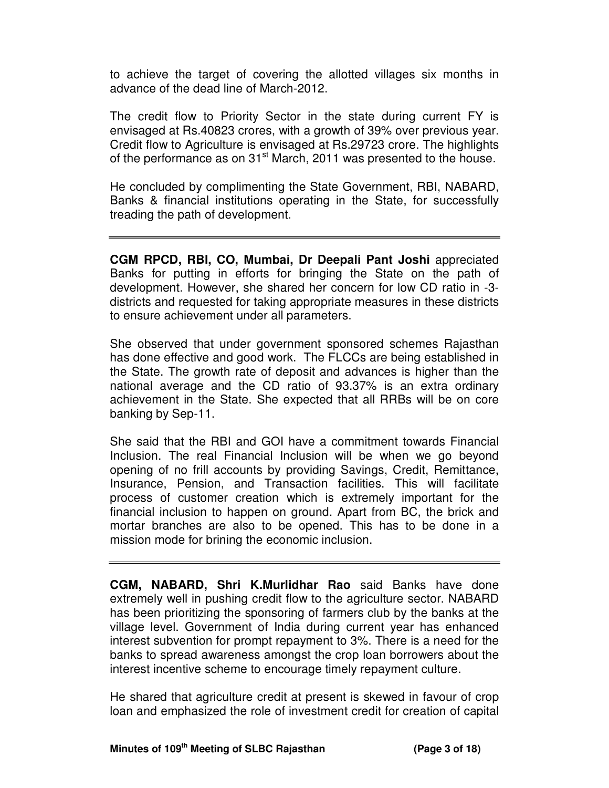to achieve the target of covering the allotted villages six months in advance of the dead line of March-2012.

The credit flow to Priority Sector in the state during current FY is envisaged at Rs.40823 crores, with a growth of 39% over previous year. Credit flow to Agriculture is envisaged at Rs.29723 crore. The highlights of the performance as on 31<sup>st</sup> March, 2011 was presented to the house.

He concluded by complimenting the State Government, RBI, NABARD, Banks & financial institutions operating in the State, for successfully treading the path of development.

**CGM RPCD, RBI, CO, Mumbai, Dr Deepali Pant Joshi** appreciated Banks for putting in efforts for bringing the State on the path of development. However, she shared her concern for low CD ratio in -3 districts and requested for taking appropriate measures in these districts to ensure achievement under all parameters.

She observed that under government sponsored schemes Rajasthan has done effective and good work. The FLCCs are being established in the State. The growth rate of deposit and advances is higher than the national average and the CD ratio of 93.37% is an extra ordinary achievement in the State. She expected that all RRBs will be on core banking by Sep-11.

She said that the RBI and GOI have a commitment towards Financial Inclusion. The real Financial Inclusion will be when we go beyond opening of no frill accounts by providing Savings, Credit, Remittance, Insurance, Pension, and Transaction facilities. This will facilitate process of customer creation which is extremely important for the financial inclusion to happen on ground. Apart from BC, the brick and mortar branches are also to be opened. This has to be done in a mission mode for brining the economic inclusion.

**CGM, NABARD, Shri K.Murlidhar Rao** said Banks have done extremely well in pushing credit flow to the agriculture sector. NABARD has been prioritizing the sponsoring of farmers club by the banks at the village level. Government of India during current year has enhanced interest subvention for prompt repayment to 3%. There is a need for the banks to spread awareness amongst the crop loan borrowers about the interest incentive scheme to encourage timely repayment culture.

He shared that agriculture credit at present is skewed in favour of crop loan and emphasized the role of investment credit for creation of capital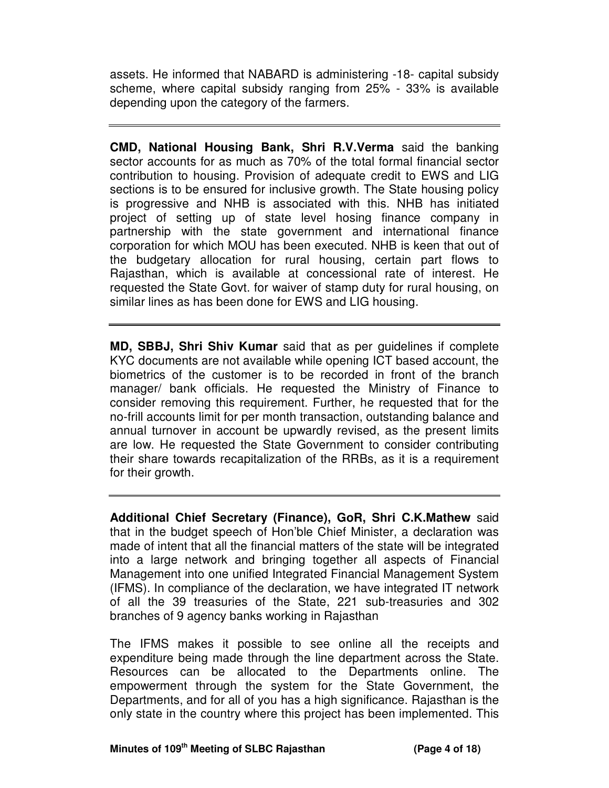assets. He informed that NABARD is administering -18- capital subsidy scheme, where capital subsidy ranging from 25% - 33% is available depending upon the category of the farmers.

**CMD, National Housing Bank, Shri R.V.Verma** said the banking sector accounts for as much as 70% of the total formal financial sector contribution to housing. Provision of adequate credit to EWS and LIG sections is to be ensured for inclusive growth. The State housing policy is progressive and NHB is associated with this. NHB has initiated project of setting up of state level hosing finance company in partnership with the state government and international finance corporation for which MOU has been executed. NHB is keen that out of the budgetary allocation for rural housing, certain part flows to Rajasthan, which is available at concessional rate of interest. He requested the State Govt. for waiver of stamp duty for rural housing, on similar lines as has been done for EWS and LIG housing.

**MD, SBBJ, Shri Shiv Kumar** said that as per guidelines if complete KYC documents are not available while opening ICT based account, the biometrics of the customer is to be recorded in front of the branch manager/ bank officials. He requested the Ministry of Finance to consider removing this requirement. Further, he requested that for the no-frill accounts limit for per month transaction, outstanding balance and annual turnover in account be upwardly revised, as the present limits are low. He requested the State Government to consider contributing their share towards recapitalization of the RRBs, as it is a requirement for their growth.

**Additional Chief Secretary (Finance), GoR, Shri C.K.Mathew** said that in the budget speech of Hon'ble Chief Minister, a declaration was made of intent that all the financial matters of the state will be integrated into a large network and bringing together all aspects of Financial Management into one unified Integrated Financial Management System (IFMS). In compliance of the declaration, we have integrated IT network of all the 39 treasuries of the State, 221 sub-treasuries and 302 branches of 9 agency banks working in Rajasthan

The IFMS makes it possible to see online all the receipts and expenditure being made through the line department across the State. Resources can be allocated to the Departments online. The empowerment through the system for the State Government, the Departments, and for all of you has a high significance. Rajasthan is the only state in the country where this project has been implemented. This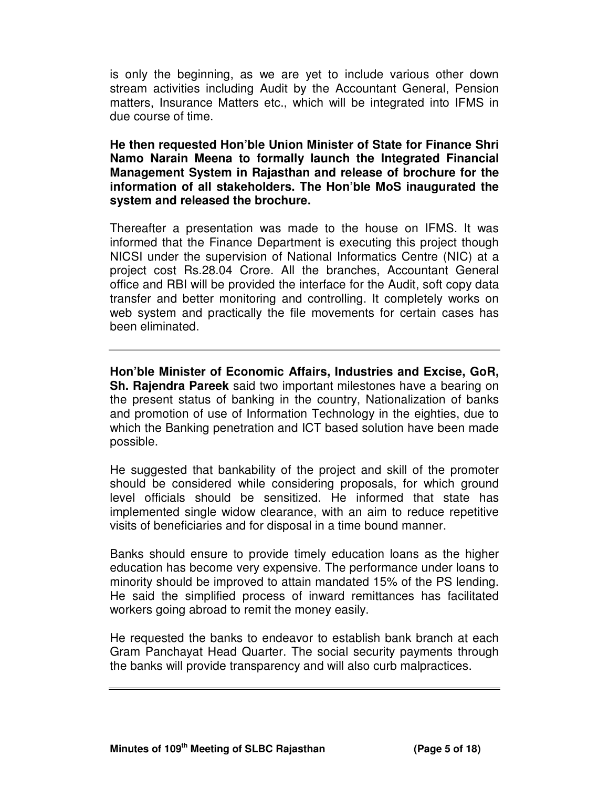is only the beginning, as we are yet to include various other down stream activities including Audit by the Accountant General, Pension matters, Insurance Matters etc., which will be integrated into IFMS in due course of time.

**He then requested Hon'ble Union Minister of State for Finance Shri Namo Narain Meena to formally launch the Integrated Financial Management System in Rajasthan and release of brochure for the information of all stakeholders. The Hon'ble MoS inaugurated the system and released the brochure.** 

Thereafter a presentation was made to the house on IFMS. It was informed that the Finance Department is executing this project though NICSI under the supervision of National Informatics Centre (NIC) at a project cost Rs.28.04 Crore. All the branches, Accountant General office and RBI will be provided the interface for the Audit, soft copy data transfer and better monitoring and controlling. It completely works on web system and practically the file movements for certain cases has been eliminated.

**Hon'ble Minister of Economic Affairs, Industries and Excise, GoR, Sh. Rajendra Pareek** said two important milestones have a bearing on the present status of banking in the country, Nationalization of banks and promotion of use of Information Technology in the eighties, due to which the Banking penetration and ICT based solution have been made possible.

He suggested that bankability of the project and skill of the promoter should be considered while considering proposals, for which ground level officials should be sensitized. He informed that state has implemented single widow clearance, with an aim to reduce repetitive visits of beneficiaries and for disposal in a time bound manner.

Banks should ensure to provide timely education loans as the higher education has become very expensive. The performance under loans to minority should be improved to attain mandated 15% of the PS lending. He said the simplified process of inward remittances has facilitated workers going abroad to remit the money easily.

He requested the banks to endeavor to establish bank branch at each Gram Panchayat Head Quarter. The social security payments through the banks will provide transparency and will also curb malpractices.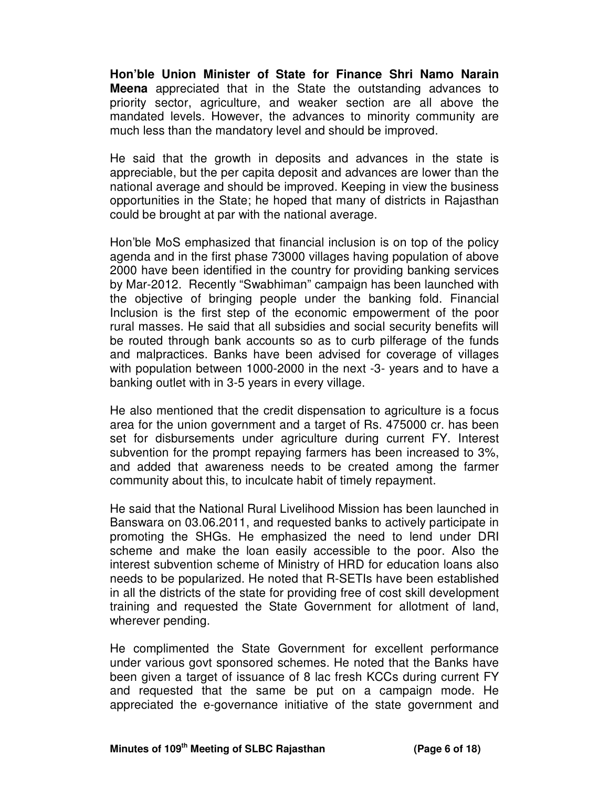**Hon'ble Union Minister of State for Finance Shri Namo Narain Meena** appreciated that in the State the outstanding advances to priority sector, agriculture, and weaker section are all above the mandated levels. However, the advances to minority community are much less than the mandatory level and should be improved.

He said that the growth in deposits and advances in the state is appreciable, but the per capita deposit and advances are lower than the national average and should be improved. Keeping in view the business opportunities in the State; he hoped that many of districts in Rajasthan could be brought at par with the national average.

Hon'ble MoS emphasized that financial inclusion is on top of the policy agenda and in the first phase 73000 villages having population of above 2000 have been identified in the country for providing banking services by Mar-2012. Recently "Swabhiman" campaign has been launched with the objective of bringing people under the banking fold. Financial Inclusion is the first step of the economic empowerment of the poor rural masses. He said that all subsidies and social security benefits will be routed through bank accounts so as to curb pilferage of the funds and malpractices. Banks have been advised for coverage of villages with population between 1000-2000 in the next -3- years and to have a banking outlet with in 3-5 years in every village.

He also mentioned that the credit dispensation to agriculture is a focus area for the union government and a target of Rs. 475000 cr. has been set for disbursements under agriculture during current FY. Interest subvention for the prompt repaying farmers has been increased to 3%, and added that awareness needs to be created among the farmer community about this, to inculcate habit of timely repayment.

He said that the National Rural Livelihood Mission has been launched in Banswara on 03.06.2011, and requested banks to actively participate in promoting the SHGs. He emphasized the need to lend under DRI scheme and make the loan easily accessible to the poor. Also the interest subvention scheme of Ministry of HRD for education loans also needs to be popularized. He noted that R-SETIs have been established in all the districts of the state for providing free of cost skill development training and requested the State Government for allotment of land, wherever pending.

He complimented the State Government for excellent performance under various govt sponsored schemes. He noted that the Banks have been given a target of issuance of 8 lac fresh KCCs during current FY and requested that the same be put on a campaign mode. He appreciated the e-governance initiative of the state government and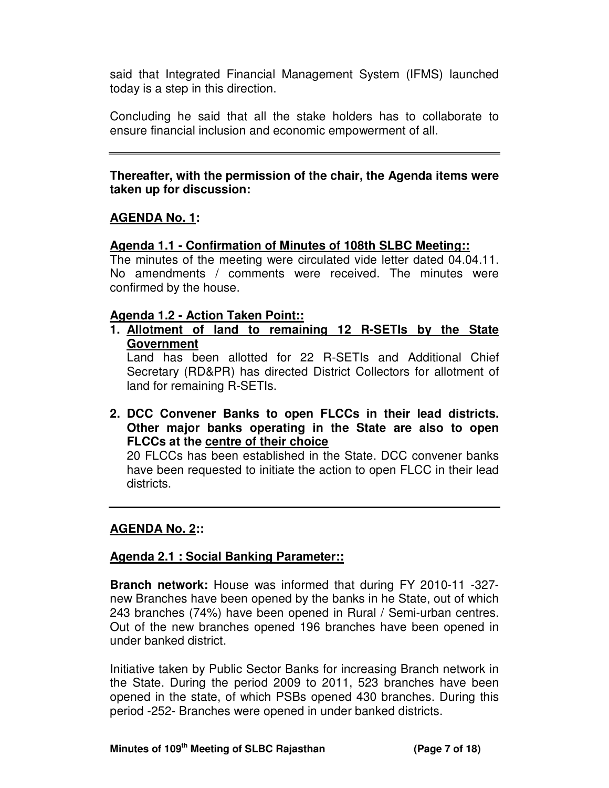said that Integrated Financial Management System (IFMS) launched today is a step in this direction.

Concluding he said that all the stake holders has to collaborate to ensure financial inclusion and economic empowerment of all.

### **Thereafter, with the permission of the chair, the Agenda items were taken up for discussion:**

# **AGENDA No. 1:**

### **Agenda 1.1 - Confirmation of Minutes of 108th SLBC Meeting::**

The minutes of the meeting were circulated vide letter dated 04.04.11. No amendments / comments were received. The minutes were confirmed by the house.

#### **Agenda 1.2 - Action Taken Point::**

**1. Allotment of land to remaining 12 R-SETIs by the State Government**

Land has been allotted for 22 R-SETIs and Additional Chief Secretary (RD&PR) has directed District Collectors for allotment of land for remaining R-SETIs.

**2. DCC Convener Banks to open FLCCs in their lead districts. Other major banks operating in the State are also to open FLCCs at the centre of their choice**

20 FLCCs has been established in the State. DCC convener banks have been requested to initiate the action to open FLCC in their lead districts.

# **AGENDA No. 2::**

#### **Agenda 2.1 : Social Banking Parameter::**

**Branch network:** House was informed that during FY 2010-11 -327 new Branches have been opened by the banks in he State, out of which 243 branches (74%) have been opened in Rural / Semi-urban centres. Out of the new branches opened 196 branches have been opened in under banked district.

Initiative taken by Public Sector Banks for increasing Branch network in the State. During the period 2009 to 2011, 523 branches have been opened in the state, of which PSBs opened 430 branches. During this period -252- Branches were opened in under banked districts.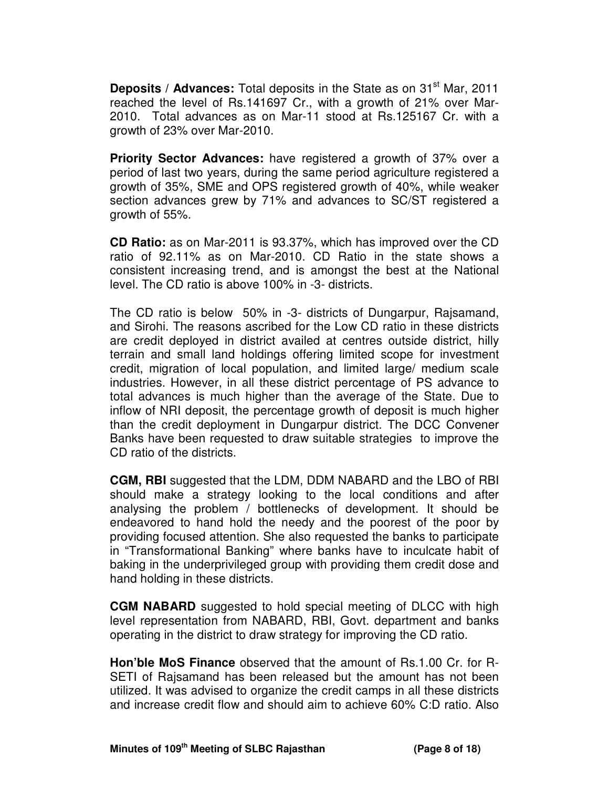**Deposits / Advances:** Total deposits in the State as on 31<sup>st</sup> Mar. 2011 reached the level of Rs.141697 Cr., with a growth of 21% over Mar-2010. Total advances as on Mar-11 stood at Rs.125167 Cr. with a growth of 23% over Mar-2010.

**Priority Sector Advances:** have registered a growth of 37% over a period of last two years, during the same period agriculture registered a growth of 35%, SME and OPS registered growth of 40%, while weaker section advances grew by 71% and advances to SC/ST registered a growth of 55%.

**CD Ratio:** as on Mar-2011 is 93.37%, which has improved over the CD ratio of 92.11% as on Mar-2010. CD Ratio in the state shows a consistent increasing trend, and is amongst the best at the National level. The CD ratio is above 100% in -3- districts.

The CD ratio is below 50% in -3- districts of Dungarpur, Rajsamand, and Sirohi. The reasons ascribed for the Low CD ratio in these districts are credit deployed in district availed at centres outside district, hilly terrain and small land holdings offering limited scope for investment credit, migration of local population, and limited large/ medium scale industries. However, in all these district percentage of PS advance to total advances is much higher than the average of the State. Due to inflow of NRI deposit, the percentage growth of deposit is much higher than the credit deployment in Dungarpur district. The DCC Convener Banks have been requested to draw suitable strategies to improve the CD ratio of the districts.

**CGM, RBI** suggested that the LDM, DDM NABARD and the LBO of RBI should make a strategy looking to the local conditions and after analysing the problem / bottlenecks of development. It should be endeavored to hand hold the needy and the poorest of the poor by providing focused attention. She also requested the banks to participate in "Transformational Banking" where banks have to inculcate habit of baking in the underprivileged group with providing them credit dose and hand holding in these districts.

**CGM NABARD** suggested to hold special meeting of DLCC with high level representation from NABARD, RBI, Govt. department and banks operating in the district to draw strategy for improving the CD ratio.

**Hon'ble MoS Finance** observed that the amount of Rs.1.00 Cr. for R-SETI of Rajsamand has been released but the amount has not been utilized. It was advised to organize the credit camps in all these districts and increase credit flow and should aim to achieve 60% C:D ratio. Also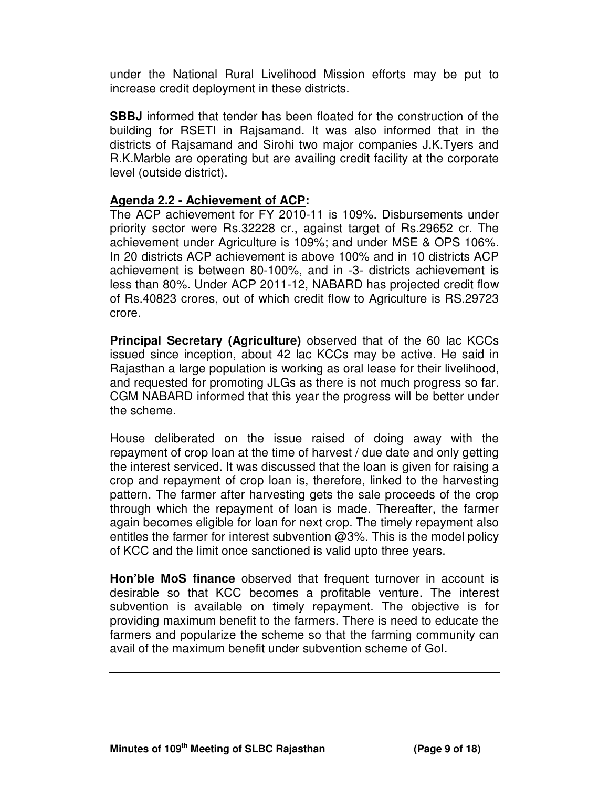under the National Rural Livelihood Mission efforts may be put to increase credit deployment in these districts.

**SBBJ** informed that tender has been floated for the construction of the building for RSETI in Rajsamand. It was also informed that in the districts of Rajsamand and Sirohi two major companies J.K.Tyers and R.K.Marble are operating but are availing credit facility at the corporate level (outside district).

### **Agenda 2.2 - Achievement of ACP:**

The ACP achievement for FY 2010-11 is 109%. Disbursements under priority sector were Rs.32228 cr., against target of Rs.29652 cr. The achievement under Agriculture is 109%; and under MSE & OPS 106%. In 20 districts ACP achievement is above 100% and in 10 districts ACP achievement is between 80-100%, and in -3- districts achievement is less than 80%. Under ACP 2011-12, NABARD has projected credit flow of Rs.40823 crores, out of which credit flow to Agriculture is RS.29723 crore.

**Principal Secretary (Agriculture)** observed that of the 60 lac KCCs issued since inception, about 42 lac KCCs may be active. He said in Rajasthan a large population is working as oral lease for their livelihood, and requested for promoting JLGs as there is not much progress so far. CGM NABARD informed that this year the progress will be better under the scheme.

House deliberated on the issue raised of doing away with the repayment of crop loan at the time of harvest / due date and only getting the interest serviced. It was discussed that the loan is given for raising a crop and repayment of crop loan is, therefore, linked to the harvesting pattern. The farmer after harvesting gets the sale proceeds of the crop through which the repayment of loan is made. Thereafter, the farmer again becomes eligible for loan for next crop. The timely repayment also entitles the farmer for interest subvention @3%. This is the model policy of KCC and the limit once sanctioned is valid upto three years.

**Hon'ble MoS finance** observed that frequent turnover in account is desirable so that KCC becomes a profitable venture. The interest subvention is available on timely repayment. The objective is for providing maximum benefit to the farmers. There is need to educate the farmers and popularize the scheme so that the farming community can avail of the maximum benefit under subvention scheme of GoI.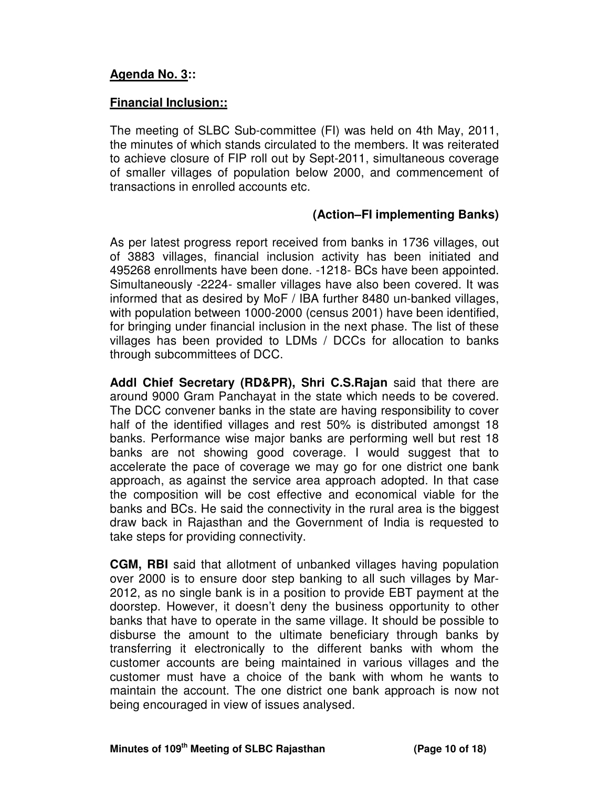# **Agenda No. 3::**

# **Financial Inclusion::**

The meeting of SLBC Sub-committee (FI) was held on 4th May, 2011, the minutes of which stands circulated to the members. It was reiterated to achieve closure of FIP roll out by Sept-2011, simultaneous coverage of smaller villages of population below 2000, and commencement of transactions in enrolled accounts etc.

### **(Action–FI implementing Banks)**

As per latest progress report received from banks in 1736 villages, out of 3883 villages, financial inclusion activity has been initiated and 495268 enrollments have been done. -1218- BCs have been appointed. Simultaneously -2224- smaller villages have also been covered. It was informed that as desired by MoF / IBA further 8480 un-banked villages, with population between 1000-2000 (census 2001) have been identified, for bringing under financial inclusion in the next phase. The list of these villages has been provided to LDMs / DCCs for allocation to banks through subcommittees of DCC.

**Addl Chief Secretary (RD&PR), Shri C.S.Rajan** said that there are around 9000 Gram Panchayat in the state which needs to be covered. The DCC convener banks in the state are having responsibility to cover half of the identified villages and rest 50% is distributed amongst 18 banks. Performance wise major banks are performing well but rest 18 banks are not showing good coverage. I would suggest that to accelerate the pace of coverage we may go for one district one bank approach, as against the service area approach adopted. In that case the composition will be cost effective and economical viable for the banks and BCs. He said the connectivity in the rural area is the biggest draw back in Rajasthan and the Government of India is requested to take steps for providing connectivity.

**CGM, RBI** said that allotment of unbanked villages having population over 2000 is to ensure door step banking to all such villages by Mar-2012, as no single bank is in a position to provide EBT payment at the doorstep. However, it doesn't deny the business opportunity to other banks that have to operate in the same village. It should be possible to disburse the amount to the ultimate beneficiary through banks by transferring it electronically to the different banks with whom the customer accounts are being maintained in various villages and the customer must have a choice of the bank with whom he wants to maintain the account. The one district one bank approach is now not being encouraged in view of issues analysed.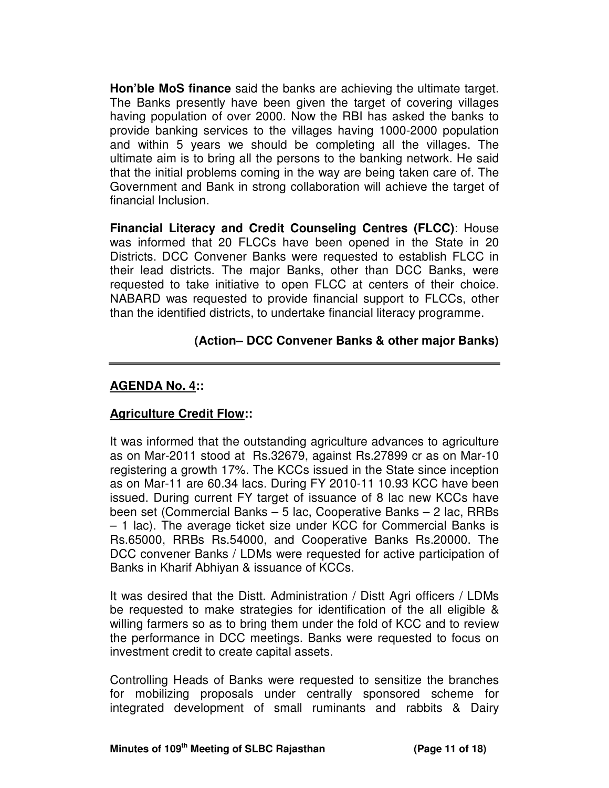**Hon'ble MoS finance** said the banks are achieving the ultimate target. The Banks presently have been given the target of covering villages having population of over 2000. Now the RBI has asked the banks to provide banking services to the villages having 1000-2000 population and within 5 years we should be completing all the villages. The ultimate aim is to bring all the persons to the banking network. He said that the initial problems coming in the way are being taken care of. The Government and Bank in strong collaboration will achieve the target of financial Inclusion.

**Financial Literacy and Credit Counseling Centres (FLCC)**: House was informed that 20 FLCCs have been opened in the State in 20 Districts. DCC Convener Banks were requested to establish FLCC in their lead districts. The major Banks, other than DCC Banks, were requested to take initiative to open FLCC at centers of their choice. NABARD was requested to provide financial support to FLCCs, other than the identified districts, to undertake financial literacy programme.

# **(Action– DCC Convener Banks & other major Banks)**

### **AGENDA No. 4::**

# **Agriculture Credit Flow::**

It was informed that the outstanding agriculture advances to agriculture as on Mar-2011 stood at Rs.32679, against Rs.27899 cr as on Mar-10 registering a growth 17%. The KCCs issued in the State since inception as on Mar-11 are 60.34 lacs. During FY 2010-11 10.93 KCC have been issued. During current FY target of issuance of 8 lac new KCCs have been set (Commercial Banks – 5 lac, Cooperative Banks – 2 lac, RRBs – 1 lac). The average ticket size under KCC for Commercial Banks is Rs.65000, RRBs Rs.54000, and Cooperative Banks Rs.20000. The DCC convener Banks / LDMs were requested for active participation of Banks in Kharif Abhiyan & issuance of KCCs.

It was desired that the Distt. Administration / Distt Agri officers / LDMs be requested to make strategies for identification of the all eligible & willing farmers so as to bring them under the fold of KCC and to review the performance in DCC meetings. Banks were requested to focus on investment credit to create capital assets.

Controlling Heads of Banks were requested to sensitize the branches for mobilizing proposals under centrally sponsored scheme for integrated development of small ruminants and rabbits & Dairy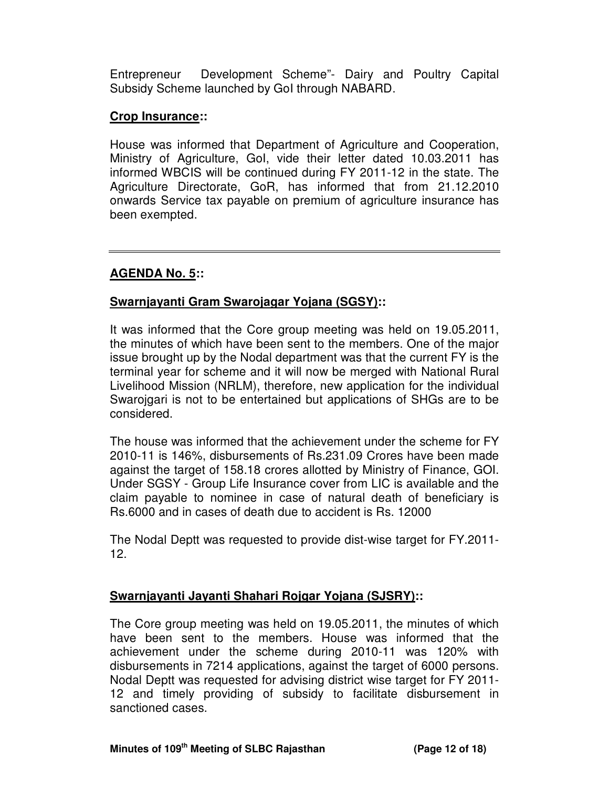Entrepreneur Development Scheme"- Dairy and Poultry Capital Subsidy Scheme launched by GoI through NABARD.

### **Crop Insurance::**

House was informed that Department of Agriculture and Cooperation, Ministry of Agriculture, GoI, vide their letter dated 10.03.2011 has informed WBCIS will be continued during FY 2011-12 in the state. The Agriculture Directorate, GoR, has informed that from 21.12.2010 onwards Service tax payable on premium of agriculture insurance has been exempted.

### **AGENDA No. 5::**

# **Swarnjayanti Gram Swarojagar Yojana (SGSY)::**

It was informed that the Core group meeting was held on 19.05.2011, the minutes of which have been sent to the members. One of the major issue brought up by the Nodal department was that the current FY is the terminal year for scheme and it will now be merged with National Rural Livelihood Mission (NRLM), therefore, new application for the individual Swarojgari is not to be entertained but applications of SHGs are to be considered.

The house was informed that the achievement under the scheme for FY 2010-11 is 146%, disbursements of Rs.231.09 Crores have been made against the target of 158.18 crores allotted by Ministry of Finance, GOI. Under SGSY - Group Life Insurance cover from LIC is available and the claim payable to nominee in case of natural death of beneficiary is Rs.6000 and in cases of death due to accident is Rs. 12000

The Nodal Deptt was requested to provide dist-wise target for FY.2011- 12.

# **Swarnjayanti Jayanti Shahari Rojgar Yojana (SJSRY)::**

The Core group meeting was held on 19.05.2011, the minutes of which have been sent to the members. House was informed that the achievement under the scheme during 2010-11 was 120% with disbursements in 7214 applications, against the target of 6000 persons. Nodal Deptt was requested for advising district wise target for FY 2011- 12 and timely providing of subsidy to facilitate disbursement in sanctioned cases.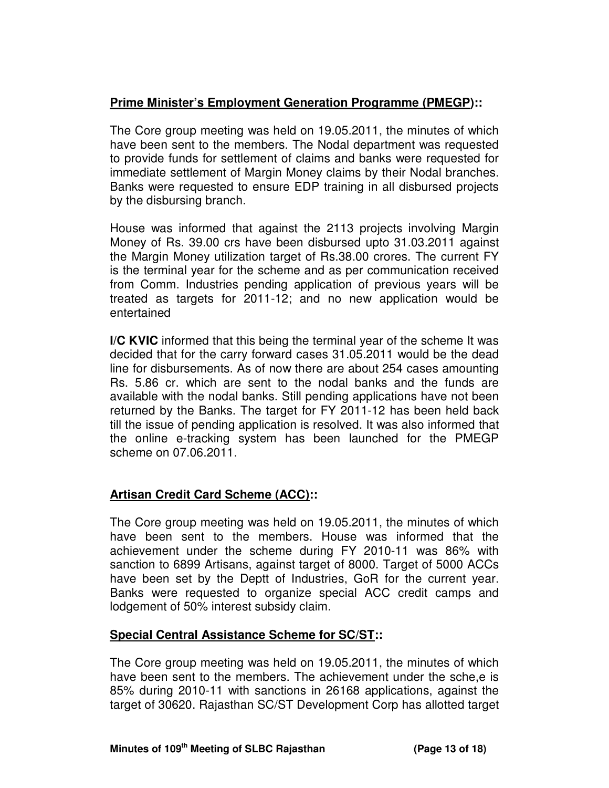# **Prime Minister's Employment Generation Programme (PMEGP)::**

The Core group meeting was held on 19.05.2011, the minutes of which have been sent to the members. The Nodal department was requested to provide funds for settlement of claims and banks were requested for immediate settlement of Margin Money claims by their Nodal branches. Banks were requested to ensure EDP training in all disbursed projects by the disbursing branch.

House was informed that against the 2113 projects involving Margin Money of Rs. 39.00 crs have been disbursed upto 31.03.2011 against the Margin Money utilization target of Rs.38.00 crores. The current FY is the terminal year for the scheme and as per communication received from Comm. Industries pending application of previous years will be treated as targets for 2011-12; and no new application would be entertained

**I/C KVIC** informed that this being the terminal year of the scheme It was decided that for the carry forward cases 31.05.2011 would be the dead line for disbursements. As of now there are about 254 cases amounting Rs. 5.86 cr. which are sent to the nodal banks and the funds are available with the nodal banks. Still pending applications have not been returned by the Banks. The target for FY 2011-12 has been held back till the issue of pending application is resolved. It was also informed that the online e-tracking system has been launched for the PMEGP scheme on 07.06.2011.

# **Artisan Credit Card Scheme (ACC)::**

The Core group meeting was held on 19.05.2011, the minutes of which have been sent to the members. House was informed that the achievement under the scheme during FY 2010-11 was 86% with sanction to 6899 Artisans, against target of 8000. Target of 5000 ACCs have been set by the Deptt of Industries, GoR for the current year. Banks were requested to organize special ACC credit camps and lodgement of 50% interest subsidy claim.

# **Special Central Assistance Scheme for SC/ST::**

The Core group meeting was held on 19.05.2011, the minutes of which have been sent to the members. The achievement under the sche,e is 85% during 2010-11 with sanctions in 26168 applications, against the target of 30620. Rajasthan SC/ST Development Corp has allotted target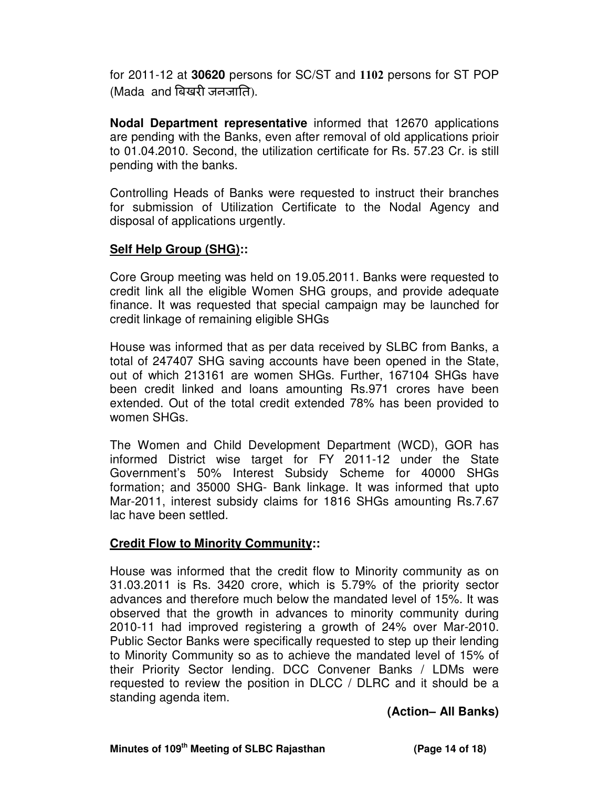for 2011-12 at **30620** persons for SC/ST and 1102 persons for ST POP  $(Mada$  and बिखरी जनजाति).

**Nodal Department representative** informed that 12670 applications are pending with the Banks, even after removal of old applications prioir to 01.04.2010. Second, the utilization certificate for Rs. 57.23 Cr. is still pending with the banks.

Controlling Heads of Banks were requested to instruct their branches for submission of Utilization Certificate to the Nodal Agency and disposal of applications urgently.

### **Self Help Group (SHG)::**

Core Group meeting was held on 19.05.2011. Banks were requested to credit link all the eligible Women SHG groups, and provide adequate finance. It was requested that special campaign may be launched for credit linkage of remaining eligible SHGs

House was informed that as per data received by SLBC from Banks, a total of 247407 SHG saving accounts have been opened in the State, out of which 213161 are women SHGs. Further, 167104 SHGs have been credit linked and loans amounting Rs.971 crores have been extended. Out of the total credit extended 78% has been provided to women SHGs.

The Women and Child Development Department (WCD), GOR has informed District wise target for FY 2011-12 under the State Government's 50% Interest Subsidy Scheme for 40000 SHGs formation; and 35000 SHG- Bank linkage. It was informed that upto Mar-2011, interest subsidy claims for 1816 SHGs amounting Rs.7.67 lac have been settled.

#### **Credit Flow to Minority Community::**

House was informed that the credit flow to Minority community as on 31.03.2011 is Rs. 3420 crore, which is 5.79% of the priority sector advances and therefore much below the mandated level of 15%. It was observed that the growth in advances to minority community during 2010-11 had improved registering a growth of 24% over Mar-2010. Public Sector Banks were specifically requested to step up their lending to Minority Community so as to achieve the mandated level of 15% of their Priority Sector lending. DCC Convener Banks / LDMs were requested to review the position in DLCC / DLRC and it should be a standing agenda item.

#### **(Action– All Banks)**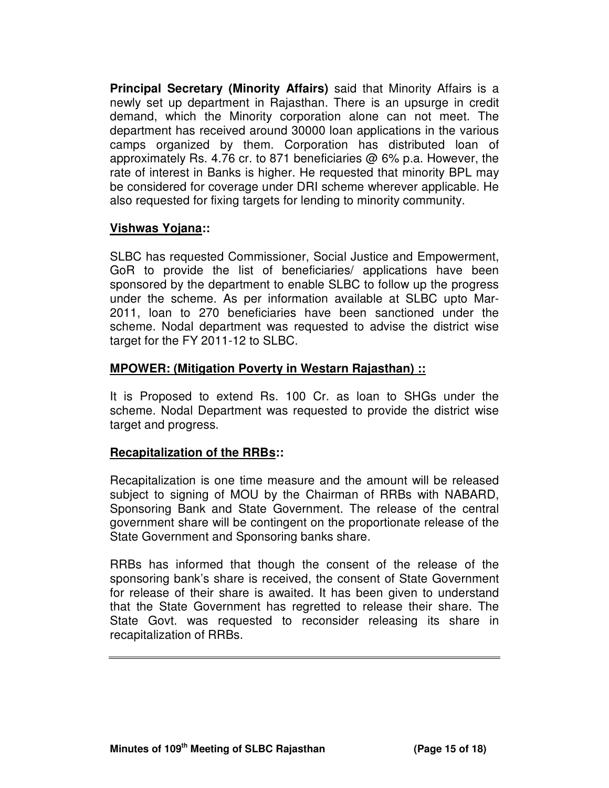**Principal Secretary (Minority Affairs)** said that Minority Affairs is a newly set up department in Rajasthan. There is an upsurge in credit demand, which the Minority corporation alone can not meet. The department has received around 30000 loan applications in the various camps organized by them. Corporation has distributed loan of approximately Rs. 4.76 cr. to 871 beneficiaries @ 6% p.a. However, the rate of interest in Banks is higher. He requested that minority BPL may be considered for coverage under DRI scheme wherever applicable. He also requested for fixing targets for lending to minority community.

# **Vishwas Yojana::**

SLBC has requested Commissioner, Social Justice and Empowerment, GoR to provide the list of beneficiaries/ applications have been sponsored by the department to enable SLBC to follow up the progress under the scheme. As per information available at SLBC upto Mar-2011, loan to 270 beneficiaries have been sanctioned under the scheme. Nodal department was requested to advise the district wise target for the FY 2011-12 to SLBC.

# **MPOWER: (Mitigation Poverty in Westarn Rajasthan) ::**

It is Proposed to extend Rs. 100 Cr. as loan to SHGs under the scheme. Nodal Department was requested to provide the district wise target and progress.

# **Recapitalization of the RRBs::**

Recapitalization is one time measure and the amount will be released subject to signing of MOU by the Chairman of RRBs with NABARD, Sponsoring Bank and State Government. The release of the central government share will be contingent on the proportionate release of the State Government and Sponsoring banks share.

RRBs has informed that though the consent of the release of the sponsoring bank's share is received, the consent of State Government for release of their share is awaited. It has been given to understand that the State Government has regretted to release their share. The State Govt. was requested to reconsider releasing its share in recapitalization of RRBs.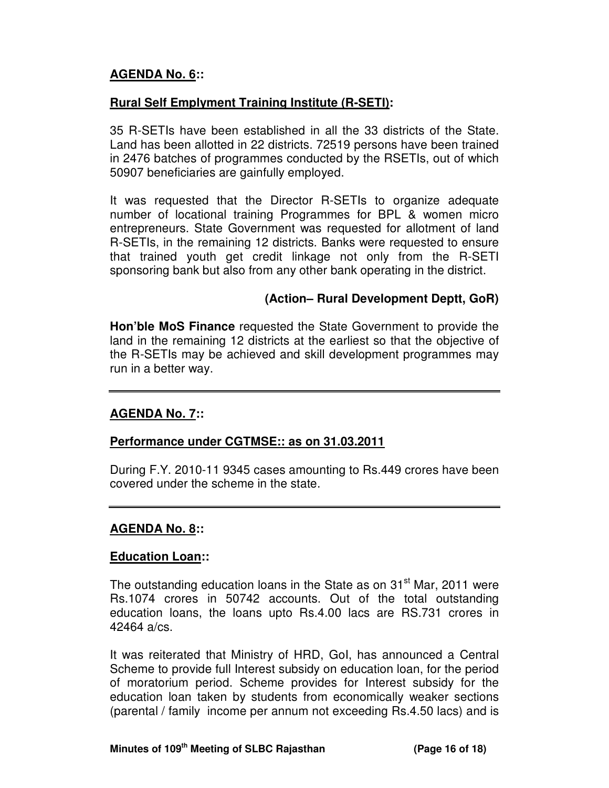# **AGENDA No. 6::**

# **Rural Self Emplyment Training Institute (R-SETI):**

35 R-SETIs have been established in all the 33 districts of the State. Land has been allotted in 22 districts. 72519 persons have been trained in 2476 batches of programmes conducted by the RSETIs, out of which 50907 beneficiaries are gainfully employed.

It was requested that the Director R-SETIs to organize adequate number of locational training Programmes for BPL & women micro entrepreneurs. State Government was requested for allotment of land R-SETIs, in the remaining 12 districts. Banks were requested to ensure that trained youth get credit linkage not only from the R-SETI sponsoring bank but also from any other bank operating in the district.

### **(Action– Rural Development Deptt, GoR)**

**Hon'ble MoS Finance** requested the State Government to provide the land in the remaining 12 districts at the earliest so that the objective of the R-SETIs may be achieved and skill development programmes may run in a better way.

#### **AGENDA No. 7::**

#### **Performance under CGTMSE:: as on 31.03.2011**

During F.Y. 2010-11 9345 cases amounting to Rs.449 crores have been covered under the scheme in the state.

#### **AGENDA No. 8::**

#### **Education Loan::**

The outstanding education loans in the State as on 31<sup>st</sup> Mar, 2011 were Rs.1074 crores in 50742 accounts. Out of the total outstanding education loans, the loans upto Rs.4.00 lacs are RS.731 crores in 42464 a/cs.

It was reiterated that Ministry of HRD, GoI, has announced a Central Scheme to provide full Interest subsidy on education loan, for the period of moratorium period. Scheme provides for Interest subsidy for the education loan taken by students from economically weaker sections (parental / family income per annum not exceeding Rs.4.50 lacs) and is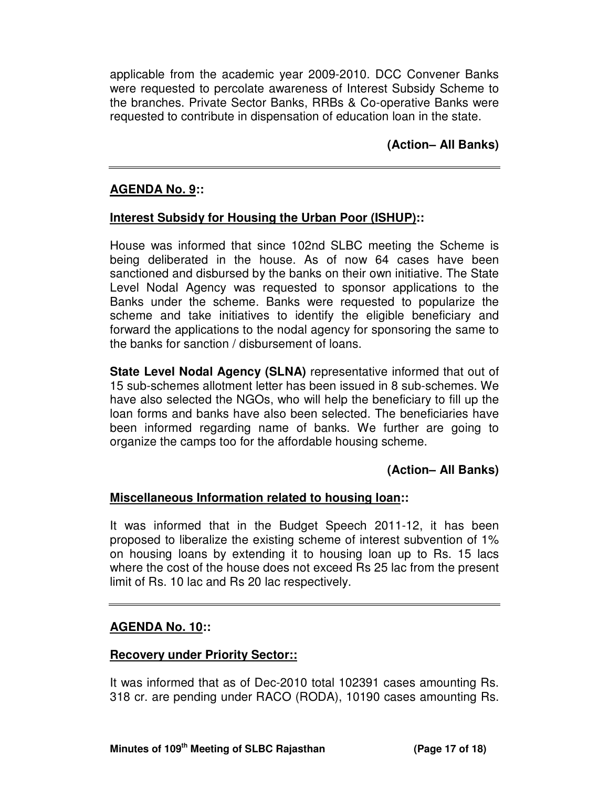applicable from the academic year 2009-2010. DCC Convener Banks were requested to percolate awareness of Interest Subsidy Scheme to the branches. Private Sector Banks, RRBs & Co-operative Banks were requested to contribute in dispensation of education loan in the state.

**(Action– All Banks)**

### **AGENDA No. 9::**

### **Interest Subsidy for Housing the Urban Poor (ISHUP)::**

House was informed that since 102nd SLBC meeting the Scheme is being deliberated in the house. As of now 64 cases have been sanctioned and disbursed by the banks on their own initiative. The State Level Nodal Agency was requested to sponsor applications to the Banks under the scheme. Banks were requested to popularize the scheme and take initiatives to identify the eligible beneficiary and forward the applications to the nodal agency for sponsoring the same to the banks for sanction / disbursement of loans.

**State Level Nodal Agency (SLNA)** representative informed that out of 15 sub-schemes allotment letter has been issued in 8 sub-schemes. We have also selected the NGOs, who will help the beneficiary to fill up the loan forms and banks have also been selected. The beneficiaries have been informed regarding name of banks. We further are going to organize the camps too for the affordable housing scheme.

# **(Action– All Banks)**

#### **Miscellaneous Information related to housing loan::**

It was informed that in the Budget Speech 2011-12, it has been proposed to liberalize the existing scheme of interest subvention of 1% on housing loans by extending it to housing loan up to Rs. 15 lacs where the cost of the house does not exceed Rs 25 lac from the present limit of Rs. 10 lac and Rs 20 lac respectively.

#### **AGENDA No. 10::**

#### **Recovery under Priority Sector::**

It was informed that as of Dec-2010 total 102391 cases amounting Rs. 318 cr. are pending under RACO (RODA), 10190 cases amounting Rs.